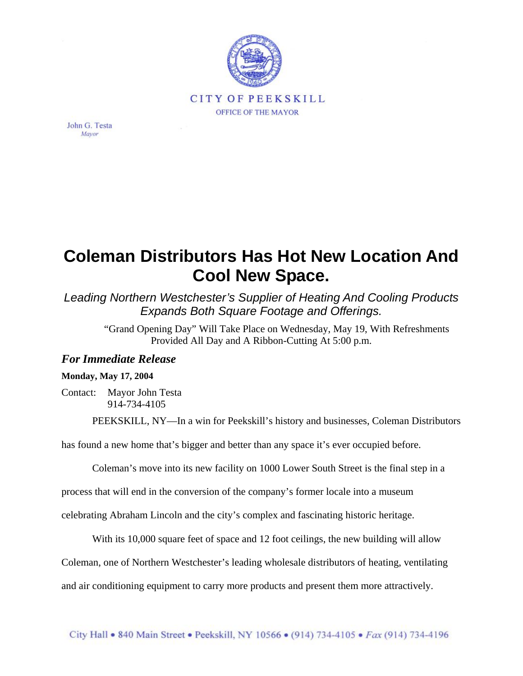

John G. Testa Mayor

## **Coleman Distributors Has Hot New Location And Cool New Space.**

*Leading Northern Westchester's Supplier of Heating And Cooling Products Expands Both Square Footage and Offerings.*

> "Grand Opening Day" Will Take Place on Wednesday, May 19, With Refreshments Provided All Day and A Ribbon-Cutting At 5:00 p.m.

## *For Immediate Release*

## **Monday, May 17, 2004**

Contact: Mayor John Testa 914-734-4105

PEEKSKILL, NY—In a win for Peekskill's history and businesses, Coleman Distributors

has found a new home that's bigger and better than any space it's ever occupied before.

Coleman's move into its new facility on 1000 Lower South Street is the final step in a

process that will end in the conversion of the company's former locale into a museum

celebrating Abraham Lincoln and the city's complex and fascinating historic heritage.

With its 10,000 square feet of space and 12 foot ceilings, the new building will allow

Coleman, one of Northern Westchester's leading wholesale distributors of heating, ventilating

and air conditioning equipment to carry more products and present them more attractively.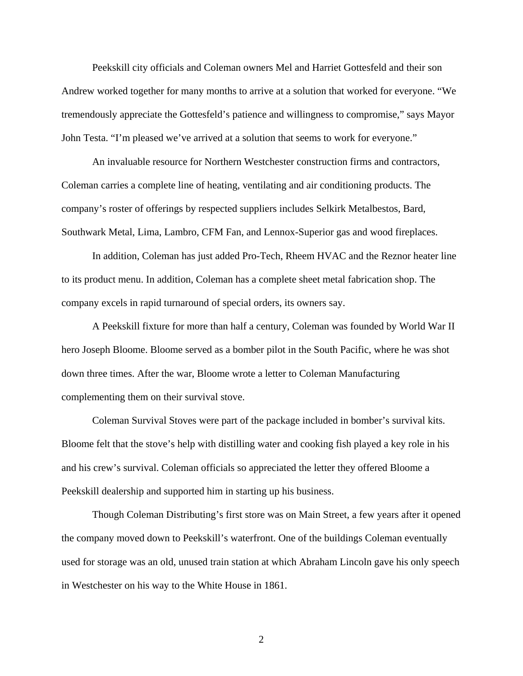Peekskill city officials and Coleman owners Mel and Harriet Gottesfeld and their son Andrew worked together for many months to arrive at a solution that worked for everyone. "We tremendously appreciate the Gottesfeld's patience and willingness to compromise," says Mayor John Testa. "I'm pleased we've arrived at a solution that seems to work for everyone."

An invaluable resource for Northern Westchester construction firms and contractors, Coleman carries a complete line of heating, ventilating and air conditioning products. The company's roster of offerings by respected suppliers includes Selkirk Metalbestos, Bard, Southwark Metal, Lima, Lambro, CFM Fan, and Lennox-Superior gas and wood fireplaces.

In addition, Coleman has just added Pro-Tech, Rheem HVAC and the Reznor heater line to its product menu. In addition, Coleman has a complete sheet metal fabrication shop. The company excels in rapid turnaround of special orders, its owners say.

A Peekskill fixture for more than half a century, Coleman was founded by World War II hero Joseph Bloome. Bloome served as a bomber pilot in the South Pacific, where he was shot down three times. After the war, Bloome wrote a letter to Coleman Manufacturing complementing them on their survival stove.

Coleman Survival Stoves were part of the package included in bomber's survival kits. Bloome felt that the stove's help with distilling water and cooking fish played a key role in his and his crew's survival. Coleman officials so appreciated the letter they offered Bloome a Peekskill dealership and supported him in starting up his business.

Though Coleman Distributing's first store was on Main Street, a few years after it opened the company moved down to Peekskill's waterfront. One of the buildings Coleman eventually used for storage was an old, unused train station at which Abraham Lincoln gave his only speech in Westchester on his way to the White House in 1861.

2